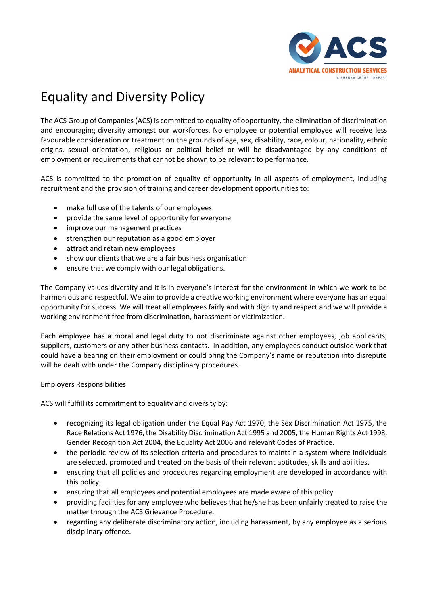## Equality and Diversity Policy

The ACS Group of Companies (ACS) is committed to equality of opportunity, the elimination of discrimination and encouraging diversity amongst our workforces. No employee or potential employee will receive less favourable consideration or treatment on the grounds of age, sex, disability, race, colour, nationality, ethnic origins, sexual orientation, religious or political belief or will be disadvantaged by any conditions of employment or requirements that cannot be shown to be relevant to performance.

ACS is committed to the promotion of equality of opportunity in all aspects of employment, including recruitment and the provision of training and career development opportunities to:

- make full use of the talents of our employees
- provide the same level of opportunity for everyone
- improve our management practices
- strengthen our reputation as a good employer
- attract and retain new employees
- show our clients that we are a fair business organisation
- ensure that we comply with our legal obligations.

The Company values diversity and it is in everyone's interest for the environment in which we work to be harmonious and respectful. We aim to provide a creative working environment where everyone has an equal opportunity for success. We will treat all employees fairly and with dignity and respect and we will provide a working environment free from discrimination, harassment or victimization.

Each employee has a moral and legal duty to not discriminate against other employees, job applicants, suppliers, customers or any other business contacts. In addition, any employees conduct outside work that could have a bearing on their employment or could bring the Company's name or reputation into disrepute will be dealt with under the Company disciplinary procedures.

## Employers Responsibilities

ACS will fulfill its commitment to equality and diversity by:

- recognizing its legal obligation under the Equal Pay Act 1970, the Sex Discrimination Act 1975, the Race Relations Act 1976, the Disability Discrimination Act 1995 and 2005, the Human Rights Act 1998, Gender Recognition Act 2004, the Equality Act 2006 and relevant Codes of Practice.
- the periodic review of its selection criteria and procedures to maintain a system where individuals are selected, promoted and treated on the basis of their relevant aptitudes, skills and abilities.
- ensuring that all policies and procedures regarding employment are developed in accordance with this policy.
- ensuring that all employees and potential employees are made aware of this policy
- providing facilities for any employee who believes that he/she has been unfairly treated to raise the matter through the ACS Grievance Procedure.
- regarding any deliberate discriminatory action, including harassment, by any employee as a serious disciplinary offence.